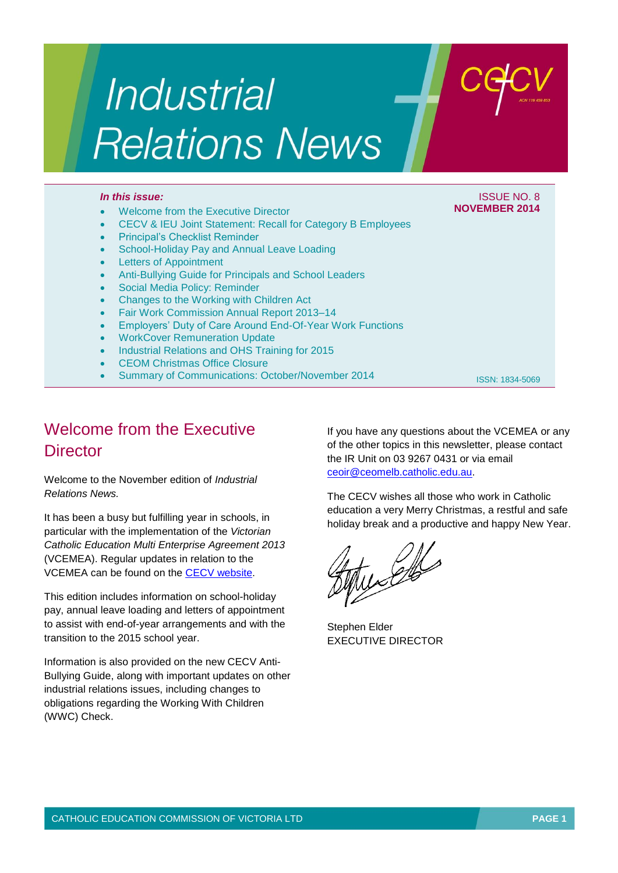# Industrial **Relations News**

## *In this issue:* ISSUE NO. 8

## Welcome from the Executive Director

- CECV & IEU Joint Statement: Recall for Category B Employees
- Principal's Checklist Reminder
- School-Holiday Pay and Annual Leave Loading
- Letters of Appointment
- Anti-Bullying Guide for Principals and School Leaders
- Social Media Policy: Reminder
- Changes to the Working with Children Act
- Fair Work Commission Annual Report 2013–14
- Employers' Duty of Care Around End-Of-Year Work Functions
- WorkCover Remuneration Update
- Industrial Relations and OHS Training for 2015
- CEOM Christmas Office Closure
- Summary of Communications: October/November 2014

ISSN: 1834-5069

**NOVEMBER 2014**

# Welcome from the Executive **Director**

Welcome to the November edition of *Industrial Relations News.*

It has been a busy but fulfilling year in schools, in particular with the implementation of the *Victorian Catholic Education Multi Enterprise Agreement 2013* (VCEMEA). Regular updates in relation to the VCEMEA can be found on the [CECV website.](http://web.cecv.catholic.edu.au/vcsa/index.htm)

This edition includes information on school-holiday pay, annual leave loading and letters of appointment to assist with end-of-year arrangements and with the transition to the 2015 school year.

Information is also provided on the new CECV Anti-Bullying Guide, along with important updates on other industrial relations issues, including changes to obligations regarding the Working With Children (WWC) Check.

If you have any questions about the VCEMEA or any of the other topics in this newsletter, please contact the IR Unit on 03 9267 0431 or via email [ceoir@ceomelb.catholic.edu.au.](mailto:ceoir@ceomelb.catholic.edu.au)

The CECV wishes all those who work in Catholic education a very Merry Christmas, a restful and safe holiday break and a productive and happy New Year.

 $\mathscr{L}$ 

Stephen Elder EXECUTIVE DIRECTOR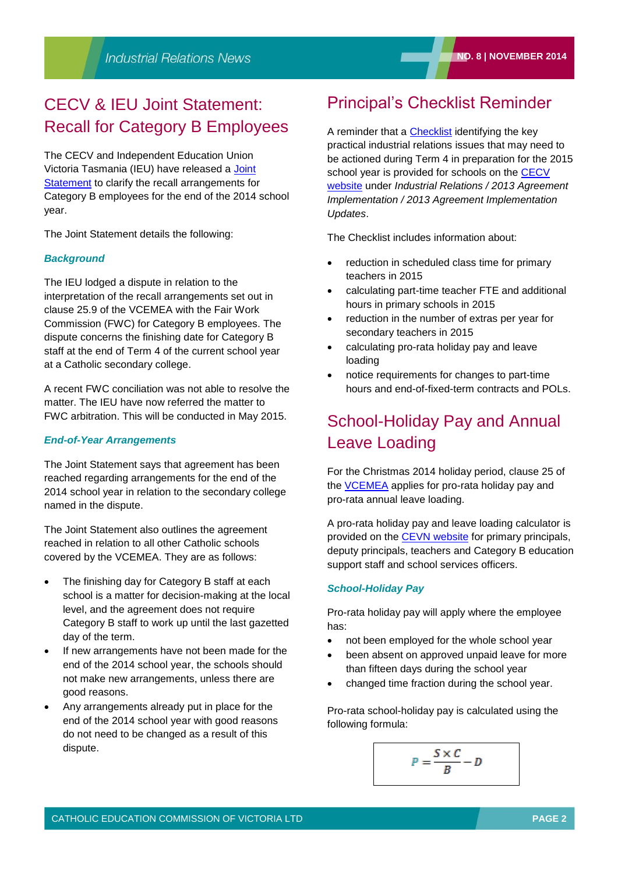# CECV & IEU Joint Statement: Recall for Category B Employees

The CECV and Independent Education Union Victoria Tasmania (IEU) have released a [Joint](http://www.cecv.catholic.edu.au/vcsa/communications/CECV_Joint_Statement_Category_B_Recall_2014.pdf)  [Statement](http://www.cecv.catholic.edu.au/vcsa/communications/CECV_Joint_Statement_Category_B_Recall_2014.pdf) to clarify the recall arrangements for Category B employees for the end of the 2014 school year.

The Joint Statement details the following:

## *Background*

The IEU lodged a dispute in relation to the interpretation of the recall arrangements set out in clause 25.9 of the VCEMEA with the Fair Work Commission (FWC) for Category B employees. The dispute concerns the finishing date for Category B staff at the end of Term 4 of the current school year at a Catholic secondary college.

A recent FWC conciliation was not able to resolve the matter. The IEU have now referred the matter to FWC arbitration. This will be conducted in May 2015.

## *End-of-Year Arrangements*

The Joint Statement says that agreement has been reached regarding arrangements for the end of the 2014 school year in relation to the secondary college named in the dispute.

The Joint Statement also outlines the agreement reached in relation to all other Catholic schools covered by the VCEMEA. They are as follows:

- The finishing day for Category B staff at each school is a matter for decision-making at the local level, and the agreement does not require Category B staff to work up until the last gazetted day of the term.
- If new arrangements have not been made for the end of the 2014 school year, the schools should not make new arrangements, unless there are good reasons.
- Any arrangements already put in place for the end of the 2014 school year with good reasons do not need to be changed as a result of this dispute.

## Principal's Checklist Reminder

A reminder that a [Checklist](http://www.cecv.catholic.edu.au/vcsa/Implementation_Guidelines/Principal) identifying the key practical industrial relations issues that may need to be actioned during Term 4 in preparation for the 2015 school year is provided for schools on the CECV [website](http://www.cecv.catholic.edu.au/frameset.htm?page=industrial) under *Industrial Relations / 2013 Agreement Implementation / 2013 Agreement Implementation Updates*.

The Checklist includes information about:

- reduction in scheduled class time for primary teachers in 2015
- calculating part-time teacher FTE and additional hours in primary schools in 2015
- reduction in the number of extras per year for secondary teachers in 2015
- calculating pro-rata holiday pay and leave loading
- notice requirements for changes to part-time hours and end-of-fixed-term contracts and POLs.

# School-Holiday Pay and Annual Leave Loading

For the Christmas 2014 holiday period, clause 25 of the [VCEMEA](http://www.cecv.catholic.edu.au/vcsa/Agreement_2013/VCEMEA_2013.pdf) applies for pro-rata holiday pay and pro-rata annual leave loading.

A pro-rata holiday pay and leave loading calculator is provided on the [CEVN website](http://cevn.cecv.catholic.edu.au/assets/0/72/86/145663/152280/f30efc35-d959-4c62-a1c3-05a58514b5ba.pdf) for primary principals, deputy principals, teachers and Category B education support staff and school services officers.

#### *School-Holiday Pay*

Pro-rata holiday pay will apply where the employee has:

- not been employed for the whole school year
- been absent on approved unpaid leave for more than fifteen days during the school year
- changed time fraction during the school year.

Pro-rata school-holiday pay is calculated using the following formula:

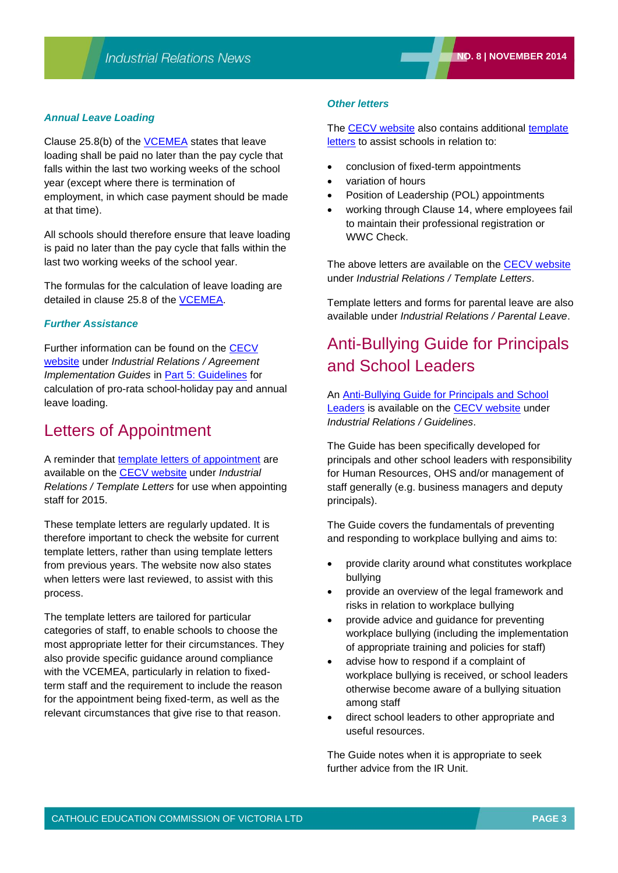## *Annual Leave Loading*

Clause 25.8(b) of the [VCEMEA](http://www.cecv.catholic.edu.au/vcsa/Agreement_2013/VCEMEA_2013.pdf) states that leave loading shall be paid no later than the pay cycle that falls within the last two working weeks of the school year (except where there is termination of employment, in which case payment should be made at that time).

All schools should therefore ensure that leave loading is paid no later than the pay cycle that falls within the last two working weeks of the school year.

The formulas for the calculation of leave loading are detailed in clause 25.8 of the **VCEMEA**.

#### *Further Assistance*

Further information can be found on the [CECV](http://www.cecv.catholic.edu.au/frameset.htm?page=industrial)  [website](http://www.cecv.catholic.edu.au/frameset.htm?page=industrial) under *Industrial Relations / Agreement Implementation Guides* in [Part 5: Guidelines](http://www.cecv.catholic.edu.au/vcsa/Implementation_Guidelines/Part_5.pdf) for calculation of pro-rata school-holiday pay and annual leave loading.

## Letters of Appointment

A reminder that [template letters of appointment](http://www.cecv.catholic.edu.au/vcsa/lettersofappointment/instructions.html) are available on the [CECV website](http://www.cecv.catholic.edu.au/frameset.htm?page=industrial) under *Industrial Relations / Template Letters* for use when appointing staff for 2015.

These template letters are regularly updated. It is therefore important to check the website for current template letters, rather than using template letters from previous years. The website now also states when letters were last reviewed, to assist with this process.

The template letters are tailored for particular categories of staff, to enable schools to choose the most appropriate letter for their circumstances. They also provide specific guidance around compliance with the VCEMEA, particularly in relation to fixedterm staff and the requirement to include the reason for the appointment being fixed-term, as well as the relevant circumstances that give rise to that reason.

#### *Other letters*

The [CECV website](http://www.cecv.catholic.edu.au/frameset.htm?page=industrial) also contains additional template [letters](http://www.cecv.catholic.edu.au/vcsa/lettersofappointment/instructions.html) to assist schools in relation to:

- conclusion of fixed-term appointments
- variation of hours
- Position of Leadership (POL) appointments
- working through Clause 14, where employees fail to maintain their professional registration or WWC Check.

The above letters are available on the [CECV website](http://www.cecv.catholic.edu.au/frameset.htm?page=industrial) under *Industrial Relations / Template Letters*.

Template letters and forms for parental leave are also available under *Industrial Relations / Parental Leave*.

# Anti-Bullying Guide for Principals and School Leaders

An [Anti-Bullying Guide for Principals and School](http://www.cecv.catholic.edu.au/vcsa/guidelines/Anti_Bullying_Guide.pdf)  [Leaders](http://www.cecv.catholic.edu.au/vcsa/guidelines/Anti_Bullying_Guide.pdf) is available on the [CECV website](http://www.cecv.catholic.edu.au/frameset.htm?page=industrial) under *Industrial Relations / Guidelines*.

The Guide has been specifically developed for principals and other school leaders with responsibility for Human Resources, OHS and/or management of staff generally (e.g. business managers and deputy principals).

The Guide covers the fundamentals of preventing and responding to workplace bullying and aims to:

- provide clarity around what constitutes workplace bullying
- provide an overview of the legal framework and risks in relation to workplace bullying
- provide advice and guidance for preventing workplace bullying (including the implementation of appropriate training and policies for staff)
- advise how to respond if a complaint of workplace bullying is received, or school leaders otherwise become aware of a bullying situation among staff
- direct school leaders to other appropriate and useful resources.

The Guide notes when it is appropriate to seek further advice from the IR Unit.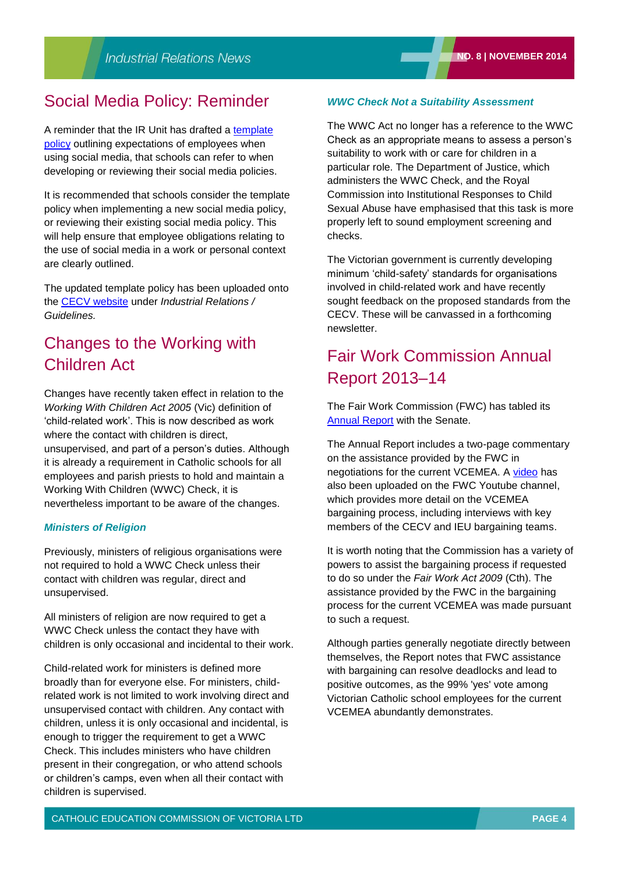## Social Media Policy: Reminder

A reminder that the IR Unit has drafted a template [policy](http://www.cecv.catholic.edu.au/vcsa/guidelines/Template_Social_Media_Policy.doc) outlining expectations of employees when using social media, that schools can refer to when developing or reviewing their social media policies.

It is recommended that schools consider the template policy when implementing a new social media policy, or reviewing their existing social media policy. This will help ensure that employee obligations relating to the use of social media in a work or personal context are clearly outlined.

The updated template policy has been uploaded onto the [CECV website](http://www.cecv.catholic.edu.au/frameset.htm?page=industrial) under *Industrial Relations / Guidelines.*

## Changes to the Working with Children Act

Changes have recently taken effect in relation to the *Working With Children Act 2005* (Vic) definition of 'child-related work'. This is now described as work where the contact with children is direct, unsupervised, and part of a person's duties. Although it is already a requirement in Catholic schools for all employees and parish priests to hold and maintain a Working With Children (WWC) Check, it is nevertheless important to be aware of the changes.

## *Ministers of Religion*

Previously, ministers of religious organisations were not required to hold a WWC Check unless their contact with children was regular, direct and unsupervised.

All ministers of religion are now required to get a WWC Check unless the contact they have with children is only occasional and incidental to their work.

Child-related work for ministers is defined more broadly than for everyone else. For ministers, childrelated work is not limited to work involving direct and unsupervised contact with children. Any contact with children, unless it is only occasional and incidental, is enough to trigger the requirement to get a WWC Check. This includes ministers who have children present in their congregation, or who attend schools or children's camps, even when all their contact with children is supervised.

## *WWC Check Not a Suitability Assessment*

The WWC Act no longer has a reference to the WWC Check as an appropriate means to assess a person's suitability to work with or care for children in a particular role. The Department of Justice, which administers the WWC Check, and the Royal Commission into Institutional Responses to Child Sexual Abuse have emphasised that this task is more properly left to sound employment screening and checks.

The Victorian government is currently developing minimum 'child-safety' standards for organisations involved in child-related work and have recently sought feedback on the proposed standards from the CECV. These will be canvassed in a forthcoming newsletter.

## Fair Work Commission Annual Report 2013–14

The Fair Work Commission (FWC) has tabled its [Annual Report](https://www.fwc.gov.au/about-us/news-and-events/annual-report-2013-14-published) with the Senate.

The Annual Report includes a two-page commentary on the assistance provided by the FWC in negotiations for the current VCEMEA. A [video](http://www.youtube.com/watch?v=3ea2V5KeOvM&list=UUVBitxdEjh7cpV9EjaeQu2w) has also been uploaded on the FWC Youtube channel, which provides more detail on the VCEMEA bargaining process, including interviews with key members of the CECV and IEU bargaining teams.

It is worth noting that the Commission has a variety of powers to assist the bargaining process if requested to do so under the *Fair Work Act 2009* (Cth). The assistance provided by the FWC in the bargaining process for the current VCEMEA was made pursuant to such a request.

Although parties generally negotiate directly between themselves, the Report notes that FWC assistance with bargaining can resolve deadlocks and lead to positive outcomes, as the 99% 'yes' vote among Victorian Catholic school employees for the current VCEMEA abundantly demonstrates.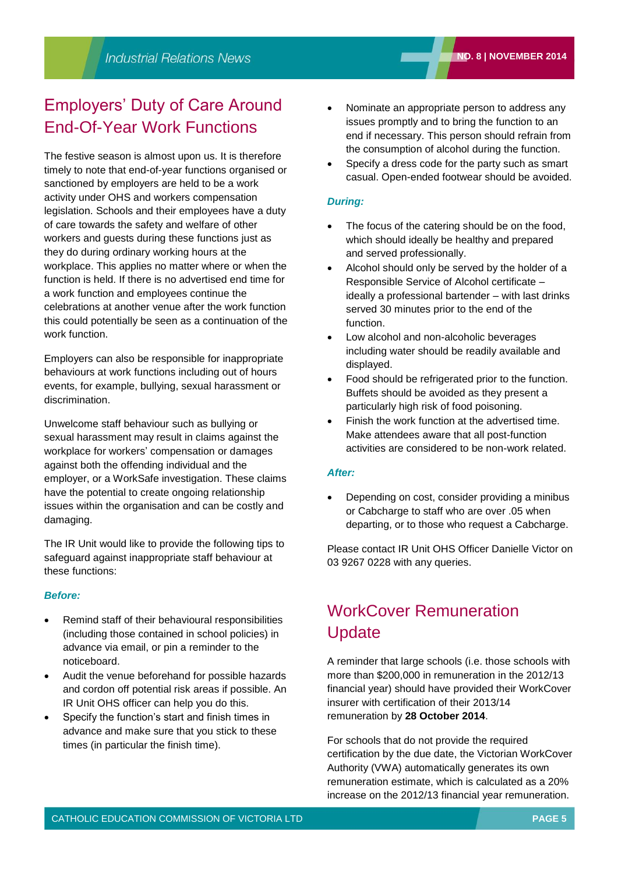# Employers' Duty of Care Around End-Of-Year Work Functions

The festive season is almost upon us. It is therefore timely to note that end-of-year functions organised or sanctioned by employers are held to be a work activity under OHS and workers compensation legislation. Schools and their employees have a duty of care towards the safety and welfare of other workers and guests during these functions just as they do during ordinary working hours at the workplace. This applies no matter where or when the function is held. If there is no advertised end time for a work function and employees continue the celebrations at another venue after the work function this could potentially be seen as a continuation of the work function.

Employers can also be responsible for inappropriate behaviours at work functions including out of hours events, for example, bullying, sexual harassment or discrimination.

Unwelcome staff behaviour such as bullying or sexual harassment may result in claims against the workplace for workers' compensation or damages against both the offending individual and the employer, or a WorkSafe investigation. These claims have the potential to create ongoing relationship issues within the organisation and can be costly and damaging.

The IR Unit would like to provide the following tips to safeguard against inappropriate staff behaviour at these functions:

## *Before:*

- Remind staff of their behavioural responsibilities (including those contained in school policies) in advance via email, or pin a reminder to the noticeboard.
- Audit the venue beforehand for possible hazards and cordon off potential risk areas if possible. An IR Unit OHS officer can help you do this.
- Specify the function's start and finish times in advance and make sure that you stick to these times (in particular the finish time).
- Nominate an appropriate person to address any issues promptly and to bring the function to an end if necessary. This person should refrain from the consumption of alcohol during the function.
- Specify a dress code for the party such as smart casual. Open-ended footwear should be avoided.

## *During:*

- The focus of the catering should be on the food, which should ideally be healthy and prepared and served professionally.
- Alcohol should only be served by the holder of a Responsible Service of Alcohol certificate – ideally a professional bartender – with last drinks served 30 minutes prior to the end of the function.
- Low alcohol and non-alcoholic beverages including water should be readily available and displayed.
- Food should be refrigerated prior to the function. Buffets should be avoided as they present a particularly high risk of food poisoning.
- Finish the work function at the advertised time. Make attendees aware that all post-function activities are considered to be non-work related.

## *After:*

 Depending on cost, consider providing a minibus or Cabcharge to staff who are over .05 when departing, or to those who request a Cabcharge.

Please contact IR Unit OHS Officer Danielle Victor on 03 9267 0228 with any queries.

# WorkCover Remuneration Update

A reminder that large schools (i.e. those schools with more than \$200,000 in remuneration in the 2012/13 financial year) should have provided their WorkCover insurer with certification of their 2013/14 remuneration by **28 October 2014**.

For schools that do not provide the required certification by the due date, the Victorian WorkCover Authority (VWA) automatically generates its own remuneration estimate, which is calculated as a 20% increase on the 2012/13 financial year remuneration.